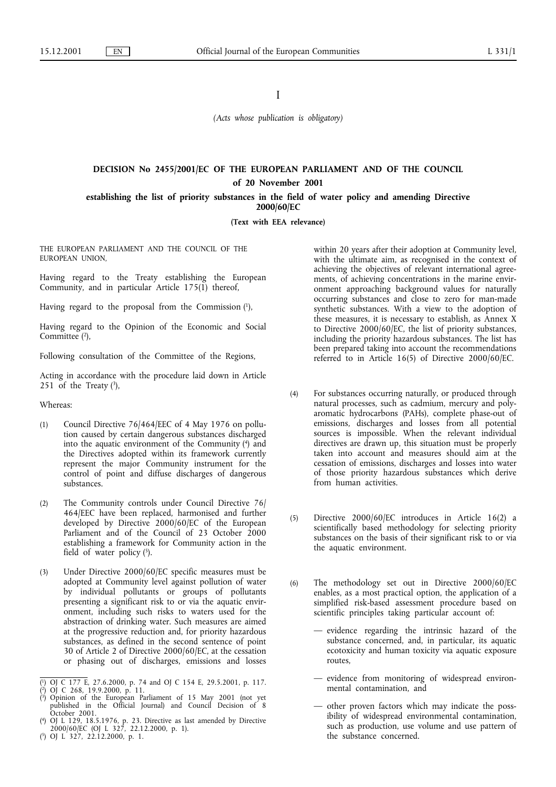I

*(Acts whose publication is obligatory)*

# **DECISION No 2455/2001/EC OF THE EUROPEAN PARLIAMENT AND OF THE COUNCIL of 20 November 2001**

**establishing the list of priority substances in the field of water policy and amending Directive 2000/60/EC**

**(Text with EEA relevance)**

THE EUROPEAN PARLIAMENT AND THE COUNCIL OF THE EUROPEAN UNION,

Having regard to the Treaty establishing the European Community, and in particular Article 175(1) thereof,

Having regard to the proposal from the Commission (1),

Having regard to the Opinion of the Economic and Social Committee<sup>(2)</sup>.

Following consultation of the Committee of the Regions,

Acting in accordance with the procedure laid down in Article 251 of the Treaty  $(3)$ ,

Whereas:

- (1) Council Directive 76/464/EEC of 4 May 1976 on pollution caused by certain dangerous substances discharged into the aquatic environment of the Community (4) and the Directives adopted within its framework currently represent the major Community instrument for the control of point and diffuse discharges of dangerous substances.
- (2) The Community controls under Council Directive 76/ 464/EEC have been replaced, harmonised and further developed by Directive 2000/60/EC of the European Parliament and of the Council of 23 October 2000 establishing a framework for Community action in the field of water policy  $(5)$ .
- (3) Under Directive 2000/60/EC specific measures must be adopted at Community level against pollution of water by individual pollutants or groups of pollutants presenting a significant risk to or via the aquatic environment, including such risks to waters used for the abstraction of drinking water. Such measures are aimed at the progressive reduction and, for priority hazardous substances, as defined in the second sentence of point 30 of Article 2 of Directive 2000/60/EC, at the cessation or phasing out of discharges, emissions and losses

within 20 years after their adoption at Community level, with the ultimate aim, as recognised in the context of achieving the objectives of relevant international agreements, of achieving concentrations in the marine environment approaching background values for naturally occurring substances and close to zero for man-made synthetic substances. With a view to the adoption of these measures, it is necessary to establish, as Annex X to Directive 2000/60/EC, the list of priority substances, including the priority hazardous substances. The list has been prepared taking into account the recommendations referred to in Article 16(5) of Directive 2000/60/EC.

- (4) For substances occurring naturally, or produced through natural processes, such as cadmium, mercury and polyaromatic hydrocarbons (PAHs), complete phase-out of emissions, discharges and losses from all potential sources is impossible. When the relevant individual directives are drawn up, this situation must be properly taken into account and measures should aim at the cessation of emissions, discharges and losses into water of those priority hazardous substances which derive from human activities.
- (5) Directive 2000/60/EC introduces in Article 16(2) a scientifically based methodology for selecting priority substances on the basis of their significant risk to or via the aquatic environment.
- (6) The methodology set out in Directive 2000/60/EC enables, as a most practical option, the application of a simplified risk-based assessment procedure based on scientific principles taking particular account of:
	- evidence regarding the intrinsic hazard of the substance concerned, and, in particular, its aquatic ecotoxicity and human toxicity via aquatic exposure routes,
	- evidence from monitoring of widespread environmental contamination, and
	- other proven factors which may indicate the possibility of widespread environmental contamination, such as production, use volume and use pattern of the substance concerned.

<sup>(</sup> 1) OJ C 177 E, 27.6.2000, p. 74 and OJ C 154 E, 29.5.2001, p. 117.

<sup>(</sup> 2) OJ C 268, 19.9.2000, p. 11.

<sup>(</sup> 3) Opinion of the European Parliament of 15 May 2001 (not yet published in the Official Journal) and Council Decision of 8 October 2001.

<sup>(</sup> 4) OJ L 129, 18.5.1976, p. 23. Directive as last amended by Directive 2000/60/EC (OJ L 327, 22.12.2000, p. 1).

<sup>(</sup> 5) OJ L 327, 22.12.2000, p. 1.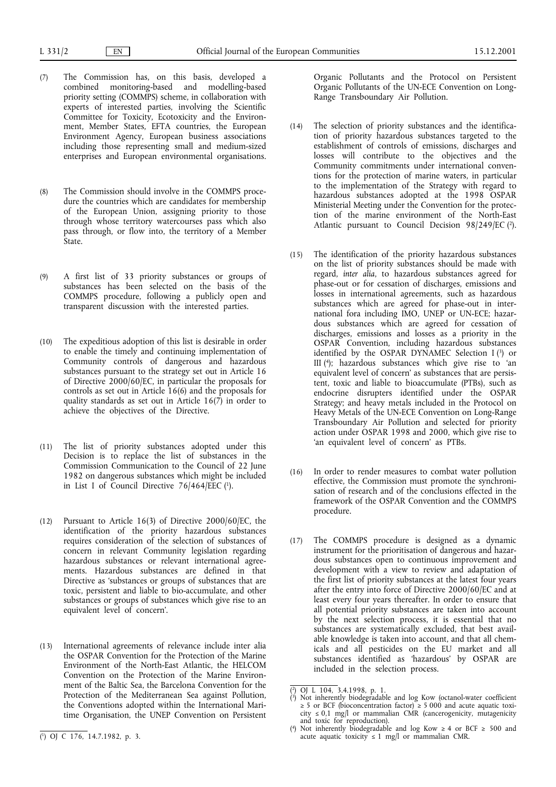(7) The Commission has, on this basis, developed a combined monitoring-based and modelling-based priority setting (COMMPS) scheme, in collaboration with experts of interested parties, involving the Scientific Committee for Toxicity, Ecotoxicity and the Environment, Member States, EFTA countries, the European Environment Agency, European business associations including those representing small and medium-sized

enterprises and European environmental organisations.

- (8) The Commission should involve in the COMMPS procedure the countries which are candidates for membership of the European Union, assigning priority to those through whose territory watercourses pass which also pass through, or flow into, the territory of a Member State.
- (9) A first list of 33 priority substances or groups of substances has been selected on the basis of the COMMPS procedure, following a publicly open and transparent discussion with the interested parties.
- (10) The expeditious adoption of this list is desirable in order to enable the timely and continuing implementation of Community controls of dangerous and hazardous substances pursuant to the strategy set out in Article 16 of Directive 2000/60/EC, in particular the proposals for controls as set out in Article 16(6) and the proposals for quality standards as set out in Article 16(7) in order to achieve the objectives of the Directive.
- (11) The list of priority substances adopted under this Decision is to replace the list of substances in the Commission Communication to the Council of 22 June 1982 on dangerous substances which might be included in List I of Council Directive  $76/464/EEC$  (1).
- (12) Pursuant to Article 16(3) of Directive 2000/60/EC, the identification of the priority hazardous substances requires consideration of the selection of substances of concern in relevant Community legislation regarding hazardous substances or relevant international agreements. Hazardous substances are defined in that Directive as 'substances or groups of substances that are toxic, persistent and liable to bio-accumulate, and other substances or groups of substances which give rise to an equivalent level of concern'.
- (13) International agreements of relevance include inter alia the OSPAR Convention for the Protection of the Marine Environment of the North-East Atlantic, the HELCOM Convention on the Protection of the Marine Environment of the Baltic Sea, the Barcelona Convention for the Protection of the Mediterranean Sea against Pollution, the Conventions adopted within the International Maritime Organisation, the UNEP Convention on Persistent

Organic Pollutants and the Protocol on Persistent Organic Pollutants of the UN-ECE Convention on Long-Range Transboundary Air Pollution.

- (14) The selection of priority substances and the identification of priority hazardous substances targeted to the establishment of controls of emissions, discharges and losses will contribute to the objectives and the Community commitments under international conventions for the protection of marine waters, in particular to the implementation of the Strategy with regard to hazardous substances adopted at the 1998 OSPAR Ministerial Meeting under the Convention for the protection of the marine environment of the North-East Atlantic pursuant to Council Decision  $98/249$ /EC (2).
- (15) The identification of the priority hazardous substances on the list of priority substances should be made with regard, *inter alia*, to hazardous substances agreed for phase-out or for cessation of discharges, emissions and losses in international agreements, such as hazardous substances which are agreed for phase-out in international fora including IMO, UNEP or UN-ECE; hazardous substances which are agreed for cessation of discharges, emissions and losses as a priority in the OSPAR Convention, including hazardous substances identified by the OSPAR DYNAMEC Selection I (3) or III (4); hazardous substances which give rise to 'an equivalent level of concern' as substances that are persistent, toxic and liable to bioaccumulate (PTBs), such as endocrine disrupters identified under the OSPAR Strategy; and heavy metals included in the Protocol on Heavy Metals of the UN-ECE Convention on Long-Range Transboundary Air Pollution and selected for priority action under OSPAR 1998 and 2000, which give rise to 'an equivalent level of concern' as PTBs.
- (16) In order to render measures to combat water pollution effective, the Commission must promote the synchronisation of research and of the conclusions effected in the framework of the OSPAR Convention and the COMMPS procedure.
- (17) The COMMPS procedure is designed as a dynamic instrument for the prioritisation of dangerous and hazardous substances open to continuous improvement and development with a view to review and adaptation of the first list of priority substances at the latest four years after the entry into force of Directive 2000/60/EC and at least every four years thereafter. In order to ensure that all potential priority substances are taken into account by the next selection process, it is essential that no substances are systematically excluded, that best available knowledge is taken into account, and that all chemicals and all pesticides on the EUmarket and all substances identified as 'hazardous' by OSPAR are included in the selection process.

<sup>(</sup> 2) OJ L 104, 3.4.1998, p. 1.

<sup>(</sup> 3) Not inherently biodegradable and log Kow (octanol-water coefficient ≥ 5 or BCF (bioconcentration factor) ≥ 5 000 and acute aquatic toxicity ≤ 0,1 mg/l or mammalian CMR (cancerogenicity, mutagenicity and toxic for reproduction).

<sup>(</sup> 4) Not inherently biodegradable and log Kow ≥ 4 or BCF ≥ 500 and (acute aquatic toxicity ≤ 1 mg/l or mammalian CMR. 14.7.1982, p. 3.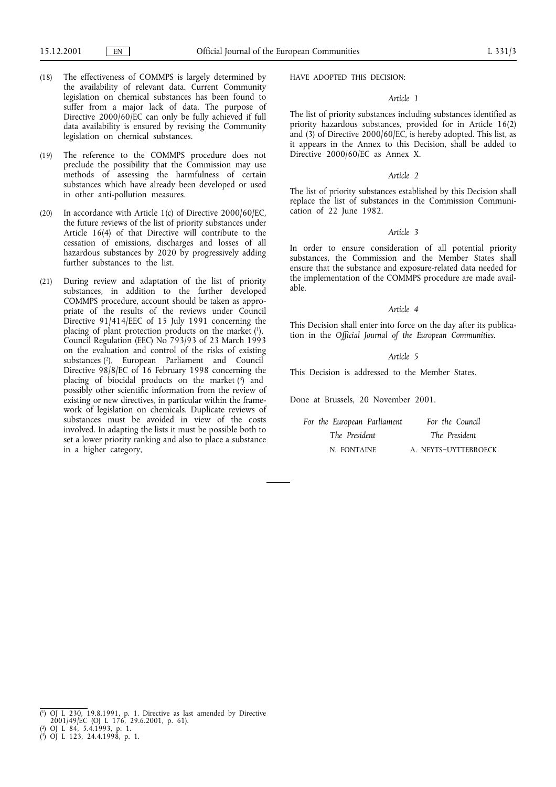- (18) The effectiveness of COMMPS is largely determined by the availability of relevant data. Current Community legislation on chemical substances has been found to suffer from a major lack of data. The purpose of Directive 2000/60/EC can only be fully achieved if full data availability is ensured by revising the Community legislation on chemical substances.
- (19) The reference to the COMMPS procedure does not preclude the possibility that the Commission may use methods of assessing the harmfulness of certain substances which have already been developed or used in other anti-pollution measures.
- (20) In accordance with Article 1(c) of Directive 2000/60/EC, the future reviews of the list of priority substances under Article 16(4) of that Directive will contribute to the cessation of emissions, discharges and losses of all hazardous substances by 2020 by progressively adding further substances to the list.
- (21) During review and adaptation of the list of priority substances, in addition to the further developed COMMPS procedure, account should be taken as appropriate of the results of the reviews under Council Directive 91/414/EEC of 15 July 1991 concerning the placing of plant protection products on the market (1), Council Regulation (EEC) No 793/93 of 23 March 1993 on the evaluation and control of the risks of existing substances (2), European Parliament and Council Directive 98/8/EC of 16 February 1998 concerning the placing of biocidal products on the market (3) and possibly other scientific information from the review of existing or new directives, in particular within the framework of legislation on chemicals. Duplicate reviews of substances must be avoided in view of the costs involved. In adapting the lists it must be possible both to set a lower priority ranking and also to place a substance in a higher category,

HAVE ADOPTED THIS DECISION:

### *Article 1*

The list of priority substances including substances identified as priority hazardous substances, provided for in Article 16(2) and  $(3)$  of Directive 2000/60/EC, is hereby adopted. This list, as it appears in the Annex to this Decision, shall be added to Directive 2000/60/EC as Annex X.

#### *Article 2*

The list of priority substances established by this Decision shall replace the list of substances in the Commission Communication of 22 June 1982.

### *Article 3*

In order to ensure consideration of all potential priority substances, the Commission and the Member States shall ensure that the substance and exposure-related data needed for the implementation of the COMMPS procedure are made available.

#### *Article 4*

This Decision shall enter into force on the day after its publication in the *Official Journal of the European Communities*.

### *Article 5*

This Decision is addressed to the Member States.

Done at Brussels, 20 November 2001.

| For the European Parliament | For the Council      |
|-----------------------------|----------------------|
| The President               | The President        |
| N. FONTAINE                 | A. NEYTS-UYTTEBROECK |

<sup>(</sup> 1) OJ L 230, 19.8.1991, p. 1. Directive as last amended by Directive

<sup>2001/49/</sup>EC (OJ L 176, 29.6.2001, p. 61).

<sup>(</sup> 2) OJ L 84, 5.4.1993, p. 1.

<sup>(</sup> 3) OJ L 123, 24.4.1998, p. 1.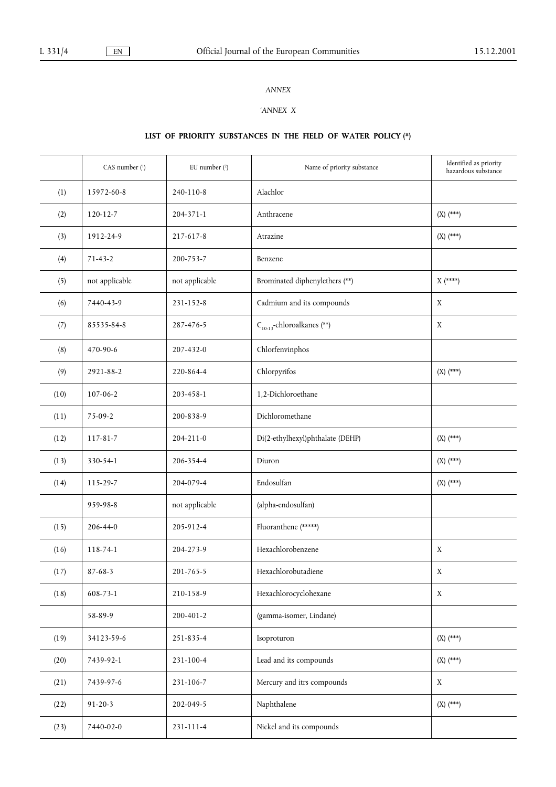### *ANNEX*

## *'ANNEX X*

# **LIST OF PRIORITY SUBSTANCES IN THE FIELD OF WATER POLICY (\*)**

|      | CAS number (1) | EU number $(2)$ | Name of priority substance       | Identified as priority<br>hazardous substance |
|------|----------------|-----------------|----------------------------------|-----------------------------------------------|
| (1)  | 15972-60-8     | 240-110-8       | Alachlor                         |                                               |
| (2)  | $120 - 12 - 7$ | $204 - 371 - 1$ | Anthracene                       | $(X)$ (***)                                   |
| (3)  | 1912-24-9      | 217-617-8       | Atrazine                         | $(X)$ (***)                                   |
| (4)  | $71 - 43 - 2$  | 200-753-7       | Benzene                          |                                               |
| (5)  | not applicable | not applicable  | Brominated diphenylethers (**)   | $X$ (****)                                    |
| (6)  | 7440-43-9      | 231-152-8       | Cadmium and its compounds        | $\mathbf X$                                   |
| (7)  | 85535-84-8     | 287-476-5       | $C_{10-13}$ -chloroalkanes (**)  | $\mathbf X$                                   |
| (8)  | 470-90-6       | 207-432-0       | Chlorfenvinphos                  |                                               |
| (9)  | 2921-88-2      | 220-864-4       | Chlorpyrifos                     | $(X)$ (***)                                   |
| (10) | 107-06-2       | 203-458-1       | 1,2-Dichloroethane               |                                               |
| (11) | 75-09-2        | 200-838-9       | Dichloromethane                  |                                               |
| (12) | 117-81-7       | $204 - 211 - 0$ | Di(2-ethylhexyl)phthalate (DEHP) | $(X)$ (***)                                   |
| (13) | 330-54-1       | 206-354-4       | Diuron                           | $(X)$ (***)                                   |
| (14) | 115-29-7       | 204-079-4       | Endosulfan                       | $(X)$ (***)                                   |
|      | 959-98-8       | not applicable  | (alpha-endosulfan)               |                                               |
| (15) | 206-44-0       | 205-912-4       | Fluoranthene (*****)             |                                               |
| (16) | 118-74-1       | 204-273-9       | Hexachlorobenzene                | X                                             |
| (17) | $87 - 68 - 3$  | 201-765-5       | Hexachlorobutadiene              | X                                             |
| (18) | 608-73-1       | 210-158-9       | Hexachlorocyclohexane            | X                                             |
|      | 58-89-9        | 200-401-2       | (gamma-isomer, Lindane)          |                                               |
| (19) | 34123-59-6     | 251-835-4       | Isoproturon                      | $(X)$ $(***)$                                 |
| (20) | 7439-92-1      | 231-100-4       | Lead and its compounds           | $(X)$ (***)                                   |
| (21) | 7439-97-6      | 231-106-7       | Mercury and itrs compounds       | $\mathbf X$                                   |
| (22) | $91 - 20 - 3$  | 202-049-5       | Naphthalene                      | $(X)$ $(***)$                                 |
| (23) | 7440-02-0      | 231-111-4       | Nickel and its compounds         |                                               |